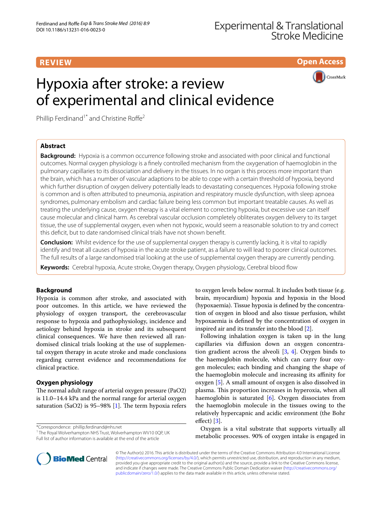# **REVIEW**

**Open Access**

**CrossMark** 

# Hypoxia after stroke: a review of experimental and clinical evidence

Phillip Ferdinand<sup>1\*</sup> and Christine Roffe<sup>2</sup>

# **Abstract**

**Background:** Hypoxia is a common occurrence following stroke and associated with poor clinical and functional outcomes. Normal oxygen physiology is a finely controlled mechanism from the oxygenation of haemoglobin in the pulmonary capillaries to its dissociation and delivery in the tissues. In no organ is this process more important than the brain, which has a number of vascular adaptions to be able to cope with a certain threshold of hypoxia, beyond which further disruption of oxygen delivery potentially leads to devastating consequences. Hypoxia following stroke is common and is often attributed to pneumonia, aspiration and respiratory muscle dysfunction, with sleep apnoea syndromes, pulmonary embolism and cardiac failure being less common but important treatable causes. As well as treating the underlying cause, oxygen therapy is a vital element to correcting hypoxia, but excessive use can itself cause molecular and clinical harm. As cerebral vascular occlusion completely obliterates oxygen delivery to its target tissue, the use of supplemental oxygen, even when not hypoxic, would seem a reasonable solution to try and correct this deficit, but to date randomised clinical trials have not shown benefit.

**Conclusion:** Whilst evidence for the use of supplemental oxygen therapy is currently lacking, it is vital to rapidly identify and treat all causes of hypoxia in the acute stroke patient, as a failure to will lead to poorer clinical outcomes. The full results of a large randomised trial looking at the use of supplemental oxygen therapy are currently pending.

**Keywords:** Cerebral hypoxia, Acute stroke, Oxygen therapy, Oxygen physiology, Cerebral blood flow

# **Background**

Hypoxia is common after stroke, and associated with poor outcomes. In this article, we have reviewed the physiology of oxygen transport, the cerebrovascular response to hypoxia and pathophysiology, incidence and aetiology behind hypoxia in stroke and its subsequent clinical consequences. We have then reviewed all randomised clinical trials looking at the use of supplemental oxygen therapy in acute stroke and made conclusions regarding current evidence and recommendations for clinical practice.

# **Oxygen physiology**

The normal adult range of arterial oxygen pressure (PaO2) is 11.0–14.4 kPa and the normal range for arterial oxygen saturation (SaO2) is 95–98% [\[1\]](#page-5-0). The term hypoxia refers

\*Correspondence: phillip.ferdinand@nhs.net

<sup>1</sup> The Royal Wolverhampton NHS Trust, Wolverhampton WV10 0QP, UK Full list of author information is available at the end of the article

to oxygen levels below normal. It includes both tissue (e.g. brain, myocardium) hypoxia and hypoxia in the blood (hypoxaemia). Tissue hypoxia is defined by the concentration of oxygen in blood and also tissue perfusion, whilst hypoxaemia is defined by the concentration of oxygen in inspired air and its transfer into the blood [\[2\]](#page-5-1).

Following inhalation oxygen is taken up in the lung capillaries via diffusion down an oxygen concentration gradient across the alveoli  $[3, 4]$  $[3, 4]$  $[3, 4]$  $[3, 4]$ . Oxygen binds to the haemoglobin molecule, which can carry four oxygen molecules; each binding and changing the shape of the haemoglobin molecule and increasing its affinity for oxygen [\[5](#page-5-4)]. A small amount of oxygen is also dissolved in plasma. This proportion increases in hyperoxia, when all haemoglobin is saturated [\[6](#page-5-5)]. Oxygen dissociates from the haemoglobin molecule in the tissues owing to the relatively hypercapnic and acidic environment (the Bohr effect) [[3\]](#page-5-2).

Oxygen is a vital substrate that supports virtually all metabolic processes. 90% of oxygen intake is engaged in



© The Author(s) 2016. This article is distributed under the terms of the Creative Commons Attribution 4.0 International License [\(http://creativecommons.org/licenses/by/4.0/\)](http://creativecommons.org/licenses/by/4.0/), which permits unrestricted use, distribution, and reproduction in any medium, provided you give appropriate credit to the original author(s) and the source, provide a link to the Creative Commons license, and indicate if changes were made. The Creative Commons Public Domain Dedication waiver ([http://creativecommons.org/](http://creativecommons.org/publicdomain/zero/1.0/) [publicdomain/zero/1.0/](http://creativecommons.org/publicdomain/zero/1.0/)) applies to the data made available in this article, unless otherwise stated.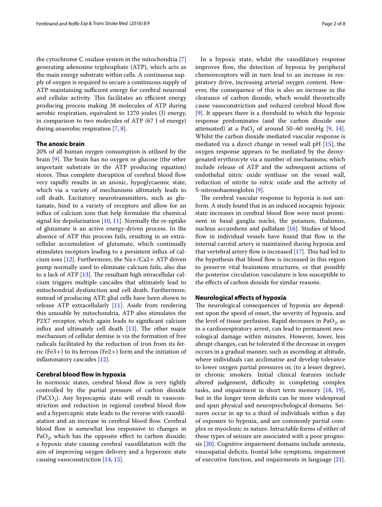the cytochrome C oxidase system in the mitochondria [\[7](#page-5-6)] generating adenosine triphosphate (ATP), which acts as the main energy substrate within cells. A continuous supply of oxygen is required to secure a continuous supply of ATP maintaining sufficient energy for cerebral neuronal and cellular activity. This facilitates an efficient energy producing process making 38 molecules of ATP during aerobic respiration, equivalent to 1270 joules (J) energy, in comparison to two molecules of ATP (67 J of energy) during anaerobic respiration [\[7](#page-5-6), [8\]](#page-5-7).

# **The anoxic brain**

20% of all human oxygen consumption is utilised by the brain [\[9](#page-6-0)]. The brain has no oxygen or glucose (the other important substrate in the ATP producing equation) stores. Thus complete disruption of cerebral blood flow very rapidly results in an anoxic, hypoglycaemic state, which via a variety of mechanisms ultimately leads to cell death. Excitatory neurotransmitters, such as glutamate, bind to a variety of receptors and allow for an influx of calcium ions that help formulate the chemical signal for depolarisation  $[10, 11]$  $[10, 11]$  $[10, 11]$  $[10, 11]$  $[10, 11]$ . Normally the re-uptake of glutamate is an active energy-driven process. In the absence of ATP this process fails, resulting in an extracellular accumulation of glutamate, which continually stimulates receptors leading to a persistent influx of cal-cium ions [[12\]](#page-6-3). Furthermore, the Na+/Ca2+ ATP driven pump normally used to eliminate calcium fails, also due to a lack of ATP [\[13](#page-6-4)]. The resultant high intracellular calcium triggers multiple cascades that ultimately lead to mitochondrial dysfunction and cell death. Furthermore, instead of producing ATP, glial cells have been shown to release ATP extracellularly [[11\]](#page-6-2). Aside from rendering this unusable by mitochondria, ATP also stimulates the P2X7 receptor, which again leads to significant calcium influx and ultimately cell death [[13\]](#page-6-4). The other major mechanism of cellular demise is via the formation of free radicals facilitated by the reduction of iron from its ferric (Fe3+) to its ferrous (Fe2+) form and the initiation of inflammatory cascades [[12\]](#page-6-3).

# **Cerebral blood flow in hypoxia**

In normoxic states, cerebral blood flow is very tightly controlled by the partial pressure of carbon dioxide (PaCO<sub>2</sub>). Any hypocapnic state will result in vasoconstriction and reduction in regional cerebral blood flow and a hypercapnic state leads to the reverse with vasodilatation and an increase in cerebral blood flow. Cerebral blood flow is somewhat less responsive to changes in PaO<sub>2</sub>, which has the opposite effect to carbon dioxide; a hypoxic state causing cerebral vasodilatation with the aim of improving oxygen delivery and a hyperoxic state causing vasoconstriction [\[14](#page-6-5), [15](#page-6-6)].

In a hypoxic state, whilst the vasodilatory response improves flow, the detection of hypoxia by peripheral chemoreceptors will in turn lead to an increase in respiratory drive, increasing arterial oxygen content. However, the consequence of this is also an increase in the clearance of carbon dioxide, which would theoretically cause vasoconstriction and reduced cerebral blood flow [[9\]](#page-6-0). It appears there is a threshold to which the hypoxic response predominates (and the carbon dioxide one attenuated) at a PaO<sub>2</sub> of around 50–60 mmHg [\[9,](#page-6-0) [14](#page-6-5)]. Whilst the carbon dioxide mediated vascular response is mediated via a direct change in vessel wall pH [[15\]](#page-6-6), the oxygen response appears to be mediated by the deoxygenated erythrocyte via a number of mechanisms; which include release of ATP and the subsequent actions of endothelial nitric oxide synthase on the vessel wall, reduction of nitrite to nitric oxide and the activity of S-nitrosohaemoglobin [[9\]](#page-6-0).

The cerebral vascular response to hypoxia is not uniform. A study found that in an induced isocapnic hypoxic state increases in cerebral blood flow were most prominent in basal ganglia nuclei, the putamen, thalamus, nucleus accumbens and pallidum [\[16\]](#page-6-7). Studies of blood flow in individual vessels have found that flow in the internal carotid artery is maintained during hypoxia and that vertebral artery flow is increased [\[17](#page-6-8)]. This had led to the hypothesis that blood flow is increased in this region to preserve vital brainstem structures, or that possibly the posterior circulation vasculature is less susceptible to the effects of carbon dioxide for similar reasons.

# **Neurological effects of hypoxia**

The neurological consequences of hypoxia are dependent upon the speed of onset, the severity of hypoxia, and the level of tissue perfusion. Rapid decreases in PaO<sub>2</sub>, as in a cardiorespiratory arrest, can lead to permanent neurological damage within minutes. However, lower, less abrupt changes, can be tolerated if the decrease in oxygen occurs in a gradual manner, such as ascending at altitude, where individuals can acclimatise and develop tolerance to lower oxygen partial pressures or, (to a lesser degree), in chronic smokers. Initial clinical features include altered judgement, difficulty in completing complex tasks, and impairment in short term memory [\[18,](#page-6-9) [19](#page-6-10)], but in the longer term deficits can be more widespread and span physical and neuropsychological domains. Seizures occur in up to a third of individuals within a day of exposure to hypoxia, and are commonly partial complex or myoclonic in nature. Intractable forms of either of these types of seizure are associated with a poor prognosis [[20\]](#page-6-11). Cognitive impairment domains include amnesia, visuospatial deficits, frontal lobe symptoms, impairment of executive function, and impairments in language [\[21](#page-6-12)].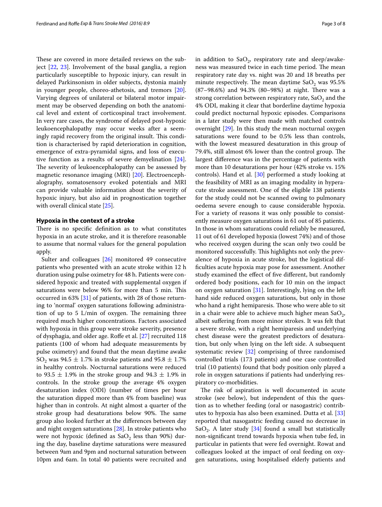These are covered in more detailed reviews on the subject [\[22](#page-6-13), [23](#page-6-14)]. Involvement of the basal ganglia, a region particularly susceptible to hypoxic injury, can result in delayed Parkinsonism in older subjects, dystonia mainly in younger people, choreo-athetosis, and tremors [\[20](#page-6-11)]. Varying degrees of unilateral or bilateral motor impairment may be observed depending on both the anatomical level and extent of corticospinal tract involvement. In very rare cases, the syndrome of delayed post-hypoxic leukoencephalopathy may occur weeks after a seemingly rapid recovery from the original insult. This condition is characterised by rapid deterioration in cognition, emergence of extra-pyramidal signs, and loss of executive function as a results of severe demyelination [\[24](#page-6-15)]. The severity of leukoencephalopathy can be assessed by magnetic resonance imaging (MRI) [[20\]](#page-6-11). Electroencephalography, somatosensory evoked potentials and MRI can provide valuable information about the severity of hypoxic injury, but also aid in prognostication together with overall clinical state [\[25\]](#page-6-16).

## **Hypoxia in the context of a stroke**

There is no specific definition as to what constitutes hypoxia in an acute stroke, and it is therefore reasonable to assume that normal values for the general population apply.

Sulter and colleagues [[26\]](#page-6-17) monitored 49 consecutive patients who presented with an acute stroke within 12 h duration using pulse oximetry for 48 h. Patients were considered hypoxic and treated with supplemental oxygen if saturations were below 96% for more than 5 min. This occurred in 63% [[31\]](#page-6-18) of patients, with 28 of those returning to 'normal' oxygen saturations following administration of up to 5 L/min of oxygen. The remaining three required much higher concentrations. Factors associated with hypoxia in this group were stroke severity, presence of dysphagia, and older age. Roffe et al. [\[27](#page-6-19)] recruited 118 patients (100 of whom had adequate measurements by pulse oximetry) and found that the mean daytime awake SO<sub>2</sub> was 94.5  $\pm$  1.7% in stroke patients and 95.8  $\pm$  1.7% in healthy controls. Nocturnal saturations were reduced to 93.5  $\pm$  1.9% in the stroke group and 94.3  $\pm$  1.9% in controls. In the stroke group the average 4% oxygen desaturation index (ODI) (number of times per hour the saturation dipped more than 4% from baseline) was higher than in controls. At night almost a quarter of the stroke group had desaturations below 90%. The same group also looked further at the differences between day and night oxygen saturations [[28\]](#page-6-20). In stroke patients who were not hypoxic (defined as  $SaO<sub>2</sub>$  less than 90%) during the day, baseline daytime saturations were measured between 9am and 9pm and nocturnal saturation between 10pm and 6am. In total 40 patients were recruited and in addition to  $CaO<sub>2</sub>$ , respiratory rate and sleep/awakeness was measured twice in each time period. The mean respiratory rate day vs. night was 20 and 18 breaths per minute respectively. The mean daytime  $SaO<sub>2</sub>$  was 95.5% (87–98.6%) and 94.3% (80–98%) at night. There was a strong correlation between respiratory rate,  $SaO<sub>2</sub>$  and the 4% ODI, making it clear that borderline daytime hypoxia could predict nocturnal hypoxic episodes. Comparisons in a later study were then made with matched controls overnight [\[29](#page-6-21)]. In this study the mean nocturnal oxygen saturations were found to be 0.5% less than controls, with the lowest measured desaturation in this group of 79.4%, still almost 6% lower than the control group. The largest difference was in the percentage of patients with more than 10 desaturations per hour (42% stroke vs. 15% controls). Hand et al. [\[30\]](#page-6-22) performed a study looking at the feasibility of MRI as an imaging modality in hyperacute stroke assessment. One of the eligible 138 patients for the study could not be scanned owing to pulmonary oedema severe enough to cause considerable hypoxia. For a variety of reasons it was only possible to consistently measure oxygen saturations in 61 out of 85 patients. In those in whom saturations could reliably be measured, 11 out of 61 developed hypoxia (lowest 74%) and of those who received oxygen during the scan only two could be monitored successfully. This highlights not only the prevalence of hypoxia in acute stroke, but the logistical difficulties acute hypoxia may pose for assessment. Another study examined the effect of five different, but randomly ordered body positions, each for 10 min on the impact on oxygen saturation  $[31]$  $[31]$ . Interestingly, lying on the left hand side reduced oxygen saturations, but only in those who hand a right hemiparesis. Those who were able to sit in a chair were able to achieve much higher mean  $SaO<sub>2</sub>$ , albeit suffering from more minor strokes. It was felt that a severe stroke, with a right hemiparesis and underlying chest disease were the greatest predictors of desaturation, but only when lying on the left side. A subsequent systematic review [[32\]](#page-6-23) comprising of three randomised controlled trials (173 patients) and one case controlled trial (10 patients) found that body position only played a role in oxygen saturations if patients had underlying respiratory co-morbidities.

The risk of aspiration is well documented in acute stroke (see below), but independent of this the question as to whether feeding (oral or nasogastric) contributes to hypoxia has also been examined. Dutta et al. [[33](#page-6-24)] reported that nasogastric feeding caused no decrease in SaO<sub>2</sub>. A later study [\[34\]](#page-6-25) found a small but statistically non-significant trend towards hypoxia when tube fed, in particular in patients that were fed overnight. Rowat and colleagues looked at the impact of oral feeding on oxygen saturations, using hospitalised elderly patients and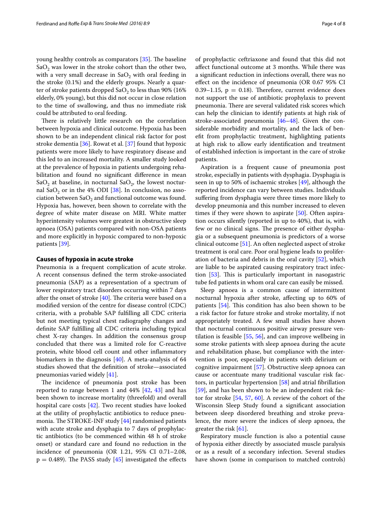young healthy controls as comparators [\[35](#page-6-26)]. The baseline  $SaO<sub>2</sub>$  was lower in the stroke cohort than the other two, with a very small decrease in  $SaO<sub>2</sub>$  with oral feeding in the stroke (0.1%) and the elderly groups. Nearly a quarter of stroke patients dropped Sa $O_2$  to less than 90% (16%) elderly, 0% young), but this did not occur in close relation to the time of swallowing, and thus no immediate risk could be attributed to oral feeding.

There is relatively little research on the correlation between hypoxia and clinical outcome. Hypoxia has been shown to be an independent clinical risk factor for post stroke dementia [[36\]](#page-6-27). Rowat et al. [\[37](#page-6-28)] found that hypoxic patients were more likely to have respiratory disease and this led to an increased mortality. A smaller study looked at the prevalence of hypoxia in patients undergoing rehabilitation and found no significant difference in mean SaO<sub>2</sub> at baseline, in nocturnal SaO<sub>2</sub>, the lowest nocturnal SaO<sub>2</sub> or in the 4% ODI [ $38$ ]. In conclusion, no association between  $\text{SaO}_2$  and functional outcome was found. Hypoxia has, however, been shown to correlate with the degree of white mater disease on MRI. White matter hyperintensity volumes were greatest in obstructive sleep apnoea (OSA) patients compared with non-OSA patients and more explicitly in hypoxic compared to non-hypoxic patients [[39\]](#page-6-30).

#### **Causes of hypoxia in acute stroke**

Pneumonia is a frequent complication of acute stroke. A recent consensus defined the term stroke-associated pneumonia (SAP) as a representation of a spectrum of lower respiratory tract disorders occurring within 7 days after the onset of stroke [[40](#page-6-31)]. The criteria were based on a modified version of the centre for disease control (CDC) criteria, with a probable SAP fulfilling all CDC criteria but not meeting typical chest radiography changes and definite SAP fulfilling all CDC criteria including typical chest X-ray changes. In addition the consensus group concluded that there was a limited role for C-reactive protein, white blood cell count and other inflammatory biomarkers in the diagnosis [[40\]](#page-6-31). A meta-analysis of 64 studies showed that the definition of stroke—associated pneumonias varied widely [\[41\]](#page-6-32).

The incidence of pneumonia post stroke has been reported to range between 1 and  $44\%$   $[42, 43]$  $[42, 43]$  $[42, 43]$  $[42, 43]$  and has been shown to increase mortality (threefold) and overall hospital care costs [\[42\]](#page-6-33). Two recent studies have looked at the utility of prophylactic antibiotics to reduce pneumonia. The STROKE-INF study [[44\]](#page-6-35) randomised patients with acute stroke and dysphagia to 7 days of prophylactic antibiotics (to be commenced within 48 h of stroke onset) or standard care and found no reduction in the incidence of pneumonia (OR 1.21, 95% CI 0.71–2.08,  $p = 0.489$ . The PASS study [\[45](#page-6-36)] investigated the effects of prophylactic ceftriaxone and found that this did not affect functional outcome at 3 months. While there was a significant reduction in infections overall, there was no effect on the incidence of pneumonia (OR 0.67 95% CI 0.39–1.15,  $p = 0.18$ ). Therefore, current evidence does not support the use of antibiotic prophylaxis to prevent pneumonia. There are several validated risk scores which can help the clinician to identify patients at high risk of stroke-associated pneumonia [[46–](#page-6-37)[48](#page-6-38)]. Given the considerable morbidity and mortality, and the lack of benefit from prophylactic treatment, highlighting patients at high risk to allow early identification and treatment of established infection is important in the care of stroke patients.

Aspiration is a frequent cause of pneumonia post stroke, especially in patients with dysphagia. Dysphagia is seen in up to 50% of ischaemic strokes [[49\]](#page-6-39), although the reported incidence can vary between studies. Individuals suffering from dysphagia were three times more likely to develop pneumonia and this number increased to eleven times if they were shown to aspirate [\[50](#page-6-40)]. Often aspiration occurs silently (reported in up to 40%), that is, with few or no clinical signs. The presence of either dysphagia or a subsequent pneumonia is predictors of a worse clinical outcome [\[51](#page-6-41)]. An often neglected aspect of stroke treatment is oral care. Poor oral hygiene leads to proliferation of bacteria and debris in the oral cavity [[52\]](#page-6-42), which are liable to be aspirated causing respiratory tract infection [[53\]](#page-6-43). This is particularly important in nasogastric tube fed patients in whom oral care can easily be missed.

Sleep apnoea is a common cause of intermittent nocturnal hypoxia after stroke, affecting up to 60% of patients [\[54\]](#page-6-44). This condition has also been shown to be a risk factor for future stroke and stroke mortality, if not appropriately treated. A few small studies have shown that nocturnal continuous positive airway pressure ventilation is feasible [\[55,](#page-6-45) [56\]](#page-6-46), and can improve wellbeing in some stroke patients with sleep apnoea during the acute and rehabilitation phase, but compliance with the intervention is poor, especially in patients with delirium or cognitive impairment [\[57\]](#page-7-0). Obstructive sleep apnoea can cause or accentuate many traditional vascular risk factors, in particular hypertension [[58](#page-7-1)] and atrial fibrillation [[59\]](#page-7-2), and has been shown to be an independent risk factor for stroke [[54](#page-6-44), [57,](#page-7-0) [60](#page-7-3)]. A review of the cohort of the Wisconsin Sleep Study found a significant association between sleep disordered breathing and stroke prevalence, the more severe the indices of sleep apnoea, the greater the risk [[61\]](#page-7-4).

Respiratory muscle function is also a potential cause of hypoxia either directly by associated muscle paralysis or as a result of a secondary infection. Several studies have shown (some in comparison to matched controls)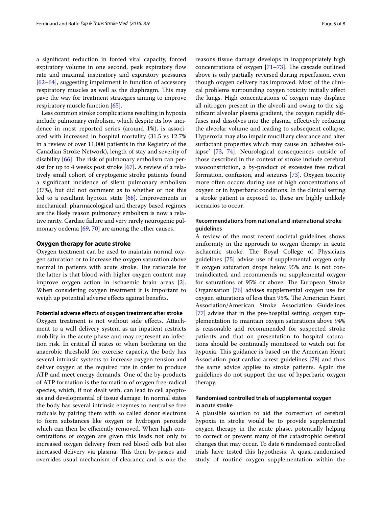a significant reduction in forced vital capacity, forced expiratory volume in one second, peak expiratory flow rate and maximal inspiratory and expiratory pressures [[62–](#page-7-5)[64](#page-7-6)], suggesting impairment in function of accessory respiratory muscles as well as the diaphragm. This may pave the way for treatment strategies aiming to improve respiratory muscle function [\[65](#page-7-7)].

Less common stroke complications resulting in hypoxia include pulmonary embolism, which despite its low incidence in most reported series (around 1%), is associated with increased in hospital mortality (31.5 vs 12.7% in a review of over 11,000 patients in the Registry of the Canadian Stroke Network), length of stay and severity of disability [[66](#page-7-8)]. The risk of pulmonary embolism can persist for up to 4 weeks post stroke [\[67\]](#page-7-9). A review of a relatively small cohort of cryptogenic stroke patients found a significant incidence of silent pulmonary embolism (37%), but did not comment as to whether or not this led to a resultant hypoxic state [[68\]](#page-7-10). Improvements in mechanical, pharmacological and therapy based regimes are the likely reason pulmonary embolism is now a relative rarity. Cardiac failure and very rarely neurogenic pulmonary oedema [[69](#page-7-11), [70\]](#page-7-12) are among the other causes.

# **Oxygen therapy for acute stroke**

Oxygen treatment can be used to maintain normal oxygen saturation or to increase the oxygen saturation above normal in patients with acute stroke. The rationale for the latter is that blood with higher oxygen content may improve oxygen action in ischaemic brain areas [\[2](#page-5-1)]. When considering oxygen treatment it is important to weigh up potential adverse effects against benefits.

## **Potential adverse effects of oxygen treatment after stroke**

Oxygen treatment is not without side effects. Attachment to a wall delivery system as an inpatient restricts mobility in the acute phase and may represent an infection risk. In critical ill states or when bordering on the anaerobic threshold for exercise capacity, the body has several intrinsic systems to increase oxygen tension and deliver oxygen at the required rate in order to produce ATP and meet energy demands. One of the by-products of ATP formation is the formation of oxygen free-radical species, which, if not dealt with, can lead to cell apoptosis and developmental of tissue damage. In normal states the body has several intrinsic enzymes to neutralise free radicals by pairing them with so called donor electrons to form substances like oxygen or hydrogen peroxide which can then be efficiently removed. When high concentrations of oxygen are given this leads not only to increased oxygen delivery from red blood cells but also increased delivery via plasma. This then by-passes and overrides usual mechanism of clearance and is one the reasons tissue damage develops in inappropriately high concentrations of oxygen [[71–](#page-7-13)[73\]](#page-7-14). The cascade outlined above is only partially reversed during reperfusion, even though oxygen delivery has improved. Most of the clinical problems surrounding oxygen toxicity initially affect the lungs. High concentrations of oxygen may displace all nitrogen present in the alveoli and owing to the significant alveolar plasma gradient, the oxygen rapidly diffuses and dissolves into the plasma, effectively reducing the alveolar volume and leading to subsequent collapse. Hyperoxia may also impair mucilliary clearance and alter surfactant properties which may cause an 'adhesive collapse' [\[73,](#page-7-14) [74\]](#page-7-15). Neurological consequences outside of those described in the context of stroke include cerebral vasoconstriction, a by-product of excessive free radical formation, confusion, and seizures [[73\]](#page-7-14). Oxygen toxicity more often occurs during use of high concentrations of oxygen or in hyperbaric conditions. In the clinical setting a stroke patient is exposed to, these are highly unlikely scenarios to occur.

# **Recommendations from national and international stroke guidelines**

A review of the most recent societal guidelines shows uniformity in the approach to oxygen therapy in acute ischaemic stroke. The Royal College of Physicians guidelines [\[75](#page-7-16)] advise use of supplemental oxygen only if oxygen saturation drops below 95% and is not contraindicated, and recommends no supplemental oxygen for saturations of 95% or above. The European Stroke Organisation [[76](#page-7-17)] advises supplemental oxygen use for oxygen saturations of less than 95%. The American Heart Association/American Stroke Association Guidelines [[77\]](#page-7-18) advise that in the pre-hospital setting, oxygen supplementation to maintain oxygen saturations above 94% is reasonable and recommended for suspected stroke patients and that on presentation to hospital saturations should be continually monitored to watch out for hypoxia. This guidance is based on the American Heart Association post cardiac arrest guidelines [[78](#page-7-19)] and thus the same advice applies to stroke patients. Again the guidelines do not support the use of hyperbaric oxygen therapy.

# **Randomised controlled trials of supplemental oxygen in acute stroke**

A plausible solution to aid the correction of cerebral hypoxia in stroke would be to provide supplemental oxygen therapy in the acute phase, potentially helping to correct or prevent many of the catastrophic cerebral changes that may occur. To date 6 randomised controlled trials have tested this hypothesis. A quasi-randomised study of routine oxygen supplementation within the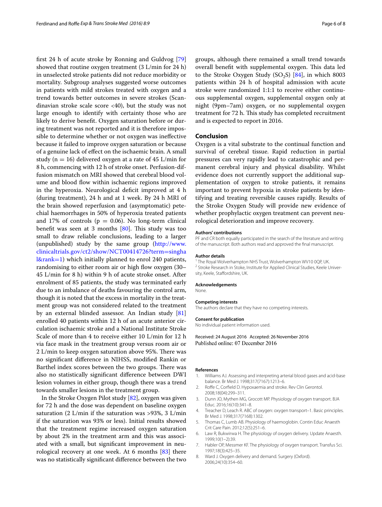first 24 h of acute stroke by Ronning and Guldvog [[79](#page-7-20)] showed that routine oxygen treatment (3 L/min for 24 h) in unselected stroke patients did not reduce morbidity or mortality. Subgroup analyses suggested worse outcomes in patients with mild strokes treated with oxygen and a trend towards better outcomes in severe strokes (Scandinavian stroke scale score <40), but the study was not large enough to identify with certainty those who are likely to derive benefit. Oxygen saturation before or during treatment was not reported and it is therefore impossible to determine whether or not oxygen was ineffective because it failed to improve oxygen saturation or because of a genuine lack of effect on the ischaemic brain. A small study ( $n = 16$ ) delivered oxygen at a rate of 45 L/min for 8 h, commencing with 12 h of stroke onset. Perfusion-diffusion mismatch on MRI showed that cerebral blood volume and blood flow within ischaemic regions improved in the hyperoxia. Neurological deficit improved at 4 h (during treatment), 24 h and at 1 week. By 24 h MRI of the brain showed reperfusion and (asymptomatic) petechial haemorrhages in 50% of hyperoxia treated patients and 17% of controls ( $p = 0.06$ ). No long-term clinical benefit was seen at 3 months  $[80]$  $[80]$ . This study was too small to draw reliable conclusions, leading to a larger (unpublished) study by the same group [\(http://www.](http://www.clinicaltrials.gov/ct2/show/NCT00414726?term=singhal&rank=1) [clinicaltrials.gov/ct2/show/NCT00414726?term](http://www.clinicaltrials.gov/ct2/show/NCT00414726?term=singhal&rank=1)=singha [l&rank](http://www.clinicaltrials.gov/ct2/show/NCT00414726?term=singhal&rank=1)=1) which initially planned to enrol 240 patients, randomising to either room air or high flow oxygen (30– 45 L/min for 8 h) within 9 h of acute stroke onset. After enrolment of 85 patients, the study was terminated early due to an imbalance of deaths favouring the control arm, though it is noted that the excess in mortality in the treatment group was not considered related to the treatment by an external blinded assessor. An Indian study [[81](#page-7-22)] enrolled 40 patients within 12 h of an acute anterior circulation ischaemic stroke and a National Institute Stroke Scale of more than 4 to receive either 10 L/min for 12 h via face mask in the treatment group versus room air or 2 L/min to keep oxygen saturation above 95%. There was no significant difference in NIHSS, modified Rankin or Barthel index scores between the two groups. There was also no statistically significant difference between DWI lesion volumes in either group, though there was a trend towards smaller lesions in the treatment group.

In the Stroke Oxygen Pilot study [\[82](#page-7-23)], oxygen was given for 72 h and the dose was dependent on baseline oxygen saturation (2 L/min if the saturation was >93%, 3 L/min if the saturation was 93% or less). Initial results showed that the treatment regime increased oxygen saturation by about 2% in the treatment arm and this was associated with a small, but significant improvement in neurological recovery at one week. At 6 months [[83](#page-7-24)] there was no statistically significant difference between the two groups, although there remained a small trend towards overall benefit with supplemental oxygen. This data led to the Stroke Oxygen Study  $(SO<sub>2</sub>S)$  [[84\]](#page-7-25), in which 8003 patients within 24 h of hospital admission with acute stroke were randomized 1:1:1 to receive either continuous supplemental oxygen, supplemental oxygen only at night (9pm–7am) oxygen, or no supplemental oxygen treatment for 72 h. This study has completed recruitment and is expected to report in 2016.

#### **Conclusion**

Oxygen is a vital substrate to the continual function and survival of cerebral tissue. Rapid reduction in partial pressures can very rapidly lead to catastrophic and permanent cerebral injury and physical disability. Whilst evidence does not currently support the additional supplementation of oxygen to stroke patients, it remains important to prevent hypoxia in stroke patients by identifying and treating reversible causes rapidly. Results of the Stroke Oxygen Study will provide new evidence of whether prophylactic oxygen treatment can prevent neurological deterioration and improve recovery.

#### **Authors' contributions**

PF and CR both equally participated in the search of the literature and writing of the manuscript. Both authors read and approved the final manuscript.

**Author details** <sup>2</sup> Stroke Research in Stoke, Institute for Applied Clinical Studies, Keele University, Keele, Staffordshire, UK.

#### **Acknowledgements**

None.

#### **Competing interests**

The authors declare that they have no competing interests.

#### **Consent for publication**

No individual patient information used.

Received: 24 August 2016 Accepted: 26 November 2016 Published online: 07 December 2016

#### **References**

- <span id="page-5-0"></span>1. Williams AJ. Assessing and interpreting arterial blood gases and acid-base balance. Br Med J. 1998;317(7167):1213–6.
- <span id="page-5-1"></span>2. Roffe C, Corfield D. Hypoxaemia and stroke. Rev Clin Gerontol. 2008;18(04):299–311.
- <span id="page-5-2"></span>3. Dunn JO, Mythen MG, Grocott MP. Physiology of oxygen transport. BJA Educ. 2016;16(10):341–8.
- <span id="page-5-3"></span>4. Treacher D, Leach R. ABC of oxygen: oxygen transport–1. Basic principles. Br Med J. 1998;317(7168):1302.
- <span id="page-5-4"></span>5. Thomas C, Lumb AB. Physiology of haemoglobin. Contin Educ Anaesth Crit Care Pain. 2012;12(5):251–6.
- <span id="page-5-5"></span>6. Law R, Bukwirwa H. The physiology of oxygen delivery. Update Anaesth. 1999;10(1–2):39.
- <span id="page-5-6"></span>7. Habler OP, Messmer KF. The physiology of oxygen transport. Transfus Sci. 1997;18(3):425–35.
- <span id="page-5-7"></span>8. Ward J. Oxygen delivery and demand. Surgery (Oxford). 2006;24(10):354–60.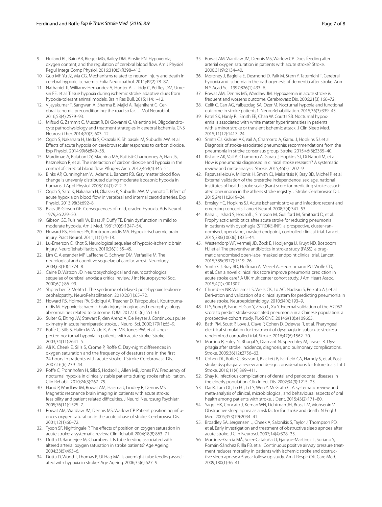- <span id="page-6-0"></span>9. Hoiland RL, Bain AR, Rieger MG, Bailey DM, Ainslie PN. Hypoxemia, oxygen content, and the regulation of cerebral blood flow. Am J Physiol Regul Integr Comp Physiol. 2016;310(5):R398–413.
- <span id="page-6-1"></span>10. Guo MF, Yu JZ, Ma CG. Mechanisms related to neuron injury and death in cerebral hypoxic ischaemia. Folia Neuropathol. 2011;49(2):78–87.
- <span id="page-6-2"></span>11. Nathaniel TI, Williams-Hernandez A, Hunter AL, Liddy C, Peffley DM, Umesiri FE, et al. Tissue hypoxia during ischemic stroke: adaptive clues from hypoxia-tolerant animal models. Brain Res Bull. 2015;114:1–12.
- <span id="page-6-3"></span>12. Vijayakumar T, Sangwan A, Sharma B, Majid A, Rajanikant G. Cerebral ischemic preconditioning: the road so far…. Mol Neurobiol. 2016;53(4):2579–93.
- <span id="page-6-4"></span>13. Mifsud G, Zammit C, Muscat R, Di Giovanni G, Valentino M. Oligodendrocyte pathophysiology and treatment strategies in cerebral ischemia. CNS Neurosci Ther. 2014;20(7):603–12.
- <span id="page-6-5"></span>14. Ogoh S, Nakahara H, Ueda S, Okazaki K, Shibasaki M, Subudhi AW, et al. Effects of acute hypoxia on cerebrovascular responses to carbon dioxide. Exp Physiol. 2014;99(6):849–58.
- <span id="page-6-6"></span>15. Mardimae A, Balaban DY, Machina MA, Battisti-Charbonney A, Han JS, Katznelson R, et al. The interaction of carbon dioxide and hypoxia in the control of cerebral blood flow. Pflugers Arch. 2012;464(4):345–51.
- <span id="page-6-7"></span>16. Binks AP, Cunningham VJ, Adams L, Banzett RB. Gray matter blood flow change is unevenly distributed during moderate isocapnic hypoxia in humans. J Appl Physiol. 2008;104(1):212–7.
- <span id="page-6-8"></span>17. Ogoh S, Sato K, Nakahara H, Okazaki K, Subudhi AW, Miyamoto T. Effect of acute hypoxia on blood flow in vertebral and internal carotid arteries. Exp Physiol. 2013;98(3):692–8.
- <span id="page-6-9"></span>18. Blass JP, Gibson GE. Consequences of mild, graded hypoxia. Adv Neurol. 1979;26:229–50.
- <span id="page-6-10"></span>19. Gibson GE, Pulsinelli W, Blass JP, Duffy TE. Brain dysfunction in mild to moderate hypoxia. Am J Med. 1981;70(6):1247–54.
- <span id="page-6-11"></span>20. Howard RS, Holmes PA, Koutroumanidis MA. Hypoxic-ischaemic brain injury. Pract Neurol. 2011;11(1):4–18.
- <span id="page-6-12"></span>21. Lu-Emerson C, Khot S. Neurological sequelae of hypoxic-ischemic brain injury. NeuroRehabilitation. 2010;26(1):35–45.
- <span id="page-6-13"></span>22. Lim C, Alexander MP, LaFleche G, Schnyer DM, Verfaellie M. The neurological and cognitive sequelae of cardiac arrest. Neurology. 2004;63(10):1774–8.
- <span id="page-6-14"></span>23. Caine D, Watson JD. Neuropsychological and neuropathological sequelae of cerebral anoxia: a critical review. J Int Neuropsychol Soc. 2000;6(1):86–99.
- <span id="page-6-15"></span>24. Shprecher D, Mehta L. The syndrome of delayed post-hypoxic leukoencephalopathy. NeuroRehabilitation. 2010;26(1):65–72.
- <span id="page-6-16"></span>25. Howard RS, Holmes PA, Siddiqui A, Treacher D, Tsiropoulos I, Koutroumanidis M. Hypoxic-ischaemic brain injury: imaging and neurophysiology abnormalities related to outcome. QJM. 2012;105(6):551–61.
- <span id="page-6-17"></span>26. Sulter G, Elting JW, Stewart R, den Arend A, De Keyser J. Continuous pulse oximetry in acute hemiparetic stroke. J Neurol Sci. 2000;179(1):65–9.
- <span id="page-6-19"></span>27. Roffe C, Sills S, Halim M, Wilde K, Allen MB, Jones PW, et al. Unexpected nocturnal hypoxia in patients with acute stroke. Stroke. 2003;34(11):2641–5.
- <span id="page-6-20"></span>28. Ali K, Cheek E, Sills S, Crome P, Roffe C. Day-night differences in oxygen saturation and the frequency of desaturations in the first 24 hours in patients with acute stroke. J Stroke Cerebrovasc Dis. 2007;16(6):239–44.
- <span id="page-6-21"></span>29. Roffe C, Frohnhofen H, Sills S, Hodsoll J, Allen MB, Jones PW. Frequency of nocturnal hypoxia in clinically stable patients during stroke rehabilitation. Clin Rehabil. 2010;24(3):267–75.
- <span id="page-6-22"></span>30. Hand P, Wardlaw JM, Rowat AM, Haisma J, Lindley R, Dennis MS. Magnetic resonance brain imaging in patients with acute stroke: feasibility and patient related difficulties. J Neurol Neurosurg Psychiatr. 2005;76(11):1525–7.
- <span id="page-6-18"></span>31. Rowat AM, Wardlaw JM, Dennis MS, Warlow CP. Patient positioning influences oxygen saturation in the acute phase of stroke. Cerebrovasc Dis. 2001;12(1):66–72.
- <span id="page-6-23"></span>32. Tyson SF, Nightingale P. The effects of position on oxygen saturation in acute stroke: a systematic review. Clin Rehabil. 2004;18(8):863–71.
- <span id="page-6-24"></span>33. Dutta D, Bannerjee M, Chambers T. Is tube feeding associated with altered arterial oxygen saturation in stroke patients? Age Ageing. 2004;33(5):493–6.
- <span id="page-6-25"></span>34. Dutta D, Wood T, Thomas R, Ul Haq MA. Is overnight tube feeding associated with hypoxia in stroke? Age Ageing. 2006;35(6):627–9.
- <span id="page-6-26"></span>35. Rowat AM, Wardlaw JM, Dennis MS, Warlow CP. Does feeding alter arterial oxygen saturation in patients with acute stroke? Stroke. 2000;31(9):2134–40.
- <span id="page-6-27"></span>36. Moroney J, Bagiella E, Desmond D, Paik M, Stern Y, Tatemichi T. Cerebral hypoxia and ischemia in the pathogenesis of dementia after stroke. Ann N Y Acad Sci. 1997;826(1):433–6.
- <span id="page-6-28"></span>37. Rowat AM, Dennis MS, Wardlaw JM. Hypoxaemia in acute stroke is frequent and worsens outcome. Cerebrovasc Dis. 2006;21(3):166–72.
- <span id="page-6-29"></span>38. Celik C, Can AG, Yalbuzdag SA, Ozer M. Nocturnal hypoxia and functional outcome in stroke patients1. NeuroRehabilitation. 2015;36(3):339–43.
- <span id="page-6-30"></span>39. Patel SK, Hanly PJ, Smith EE, Chan W, Coutts SB. Nocturnal hypoxemia is associated with white matter hyperintensities in patients with a minor stroke or transient ischemic attack. J Clin Sleep Med. 2015;11(12):1417–24.
- <span id="page-6-31"></span>40. Smith CJ, Kishore AK, Vail A, Chamorro A, Garau J, Hopkins SJ, et al. Diagnosis of stroke-associated pneumonia: recommendations from the pneumonia in stroke consensus group. Stroke. 2015;46(8):2335–40.
- <span id="page-6-32"></span>41. Kishore AK, Vail A, Chamorro A, Garau J, Hopkins SJ, Di Napoli M, et al. How is pneumonia diagnosed in clinical stroke research? A systematic review and meta-analysis. Stroke. 2015;46(5):1202–9.
- <span id="page-6-33"></span>42. Papavasileiou V, Milionis H, Smith CJ, Makaritsis K, Bray BD, Michel P, et al. External validation of the prestroke independence, sex, age, national institutes of health stroke scale (isan) score for predicting stroke-associated pneumonia in the athens stroke registry. J Stroke Cerebrovasc Dis. 2015;24(11):2619–24.
- <span id="page-6-34"></span>43. Emsley HC, Hopkins SJ. Acute ischaemic stroke and infection: recent and emerging concepts. Lancet Neurol. 2008;7(4):341–53.
- <span id="page-6-35"></span>44. Kalra L, Irshad S, Hodsoll J, Simpson M, Gulliford M, Smithard D, et al. Prophylactic antibiotics after acute stroke for reducing pneumonia in patients with dysphagia (STROKE-INF): a prospective, cluster-randomised, open-label, masked endpoint, controlled clinical trial. Lancet. 2015;386(10006):1835–44.
- <span id="page-6-36"></span>45. Westendorp WF, Vermeij JD, Zock E, Hooijenga IJ, Kruyt ND, Bosboom HJ, et al. The preventive antibiotics in stroke study (PASS): a pragmatic randomised open-label masked endpoint clinical trial. Lancet. 2015;385(9977):1519–26.
- <span id="page-6-37"></span>46. Smith CJ, Bray BD, Hoffman A, Meisel A, Heuschmann PU, Wolfe CD, et al. Can a novel clinical risk score improve pneumonia prediction in acute stroke care? A UK multicenter cohort study. J Am Heart Assoc. 2015;4(1):e001307.
- 47. Chumbler NR, Williams LS, Wells CK, Lo AC, Nadeau S, Peixoto AJ, et al. Derivation and validation of a clinical system for predicting pneumonia in acute stroke. Neuroepidemiology. 2010;34(4):193–9.
- <span id="page-6-38"></span>48. Li Y, Song B, Fang H, Gao Y, Zhao L, Xu Y. External validation of the A2DS2 score to predict stroke-associated pneumonia in a Chinese population: a prospective cohort study. PLoS ONE. 2014;9(10):e109665.
- <span id="page-6-39"></span>49. Bath PM, Scutt P, Love J, Clave P, Cohen D, Dziewas R, et al. Pharyngeal electrical stimulation for treatment of dysphagia in subacute stroke: a randomized controlled trial. Stroke. 2016;47(6):1562–70.
- <span id="page-6-40"></span>50. Martino R, Foley N, Bhogal S, Diamant N, Speechley M, Teasell R. Dysphagia after stroke: incidence, diagnosis, and pulmonary complications. Stroke. 2005;36(12):2756–63.
- <span id="page-6-41"></span>51. Cohen DL, Roffe C, Beavan J, Blackett B, Fairfield CA, Hamdy S, et al. Poststroke dysphagia: a review and design considerations for future trials. Int J Stroke. 2016;11(4):399–411.
- <span id="page-6-42"></span>52. Shay K. Infectious complications of dental and periodontal diseases in the elderly population. Clin Infect Dis. 2002;34(9):1215–23.
- <span id="page-6-43"></span>53. Dai R, Lam OL, Lo EC, Li LS, Wen Y, McGrath C. A systematic review and meta-analysis of clinical, microbiological, and behavioural aspects of oral health among patients with stroke. J Dent. 2015;43(2):171–80.
- <span id="page-6-44"></span>54. Yaggi HK, Concato J, Kernan WN, Lichtman JH, Brass LM, Mohsenin V. Obstructive sleep apnea as a risk factor for stroke and death. N Engl J Med. 2005;353(19):2034–41.
- <span id="page-6-45"></span>55. Broadley SA, Jørgensen L, Cheek A, Salonikis S, Taylor J, Thompson PD, et al. Early investigation and treatment of obstructive sleep apnoea after acute stroke. J Clin Neurosci. 2007;14(4):328–33.
- <span id="page-6-46"></span>56. Martínez-García MÁ, Soler-Cataluña JJ, Ejarque-Martínez L, Soriano Y, Román-Sánchez P, Illa FB, et al. Continuous positive airway pressure treatment reduces mortality in patients with ischemic stroke and obstructive sleep apnea: a 5-year follow-up study. Am J Respir Crit Care Med. 2009;180(1):36–41.